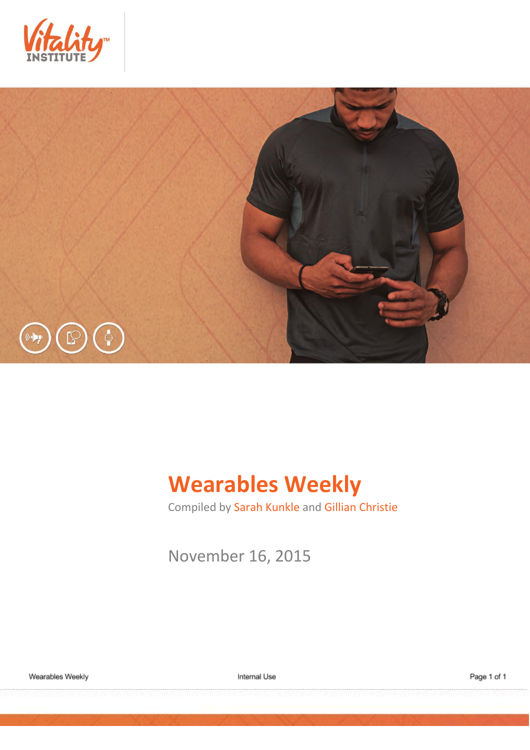



# **Wearables Weekly**

Compiled by Sarah Kunkle and Gillian Christie

November 16, 2015

Internal Use

Page 1 of 1